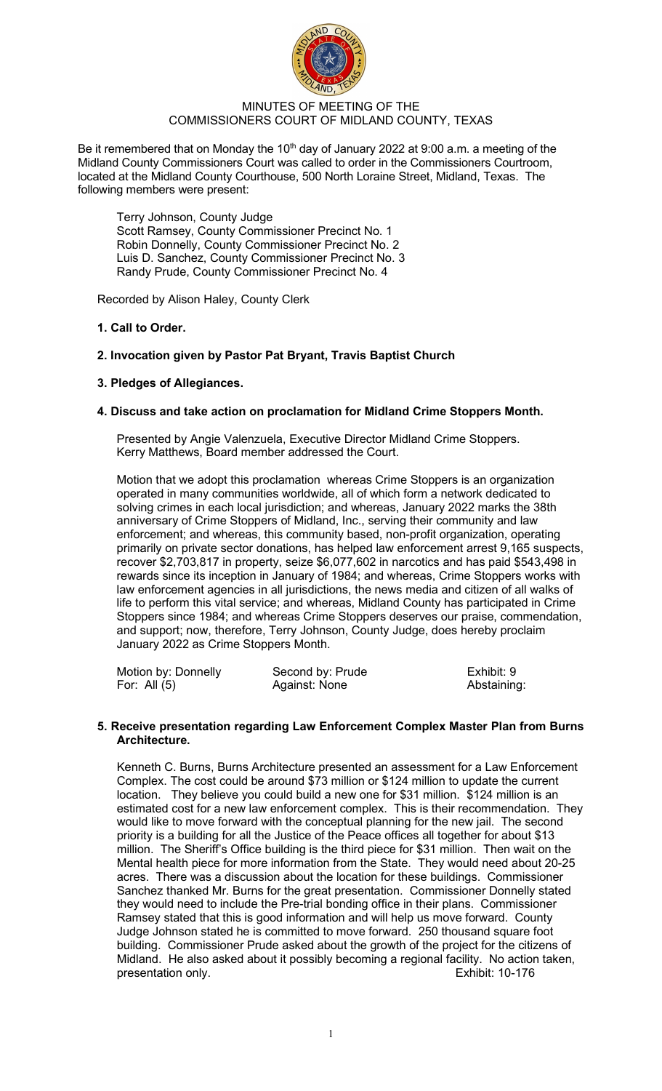

## MINUTES OF MEETING OF THE COMMISSIONERS COURT OF MIDLAND COUNTY, TEXAS

Be it remembered that on Monday the  $10<sup>th</sup>$  day of January 2022 at 9:00 a.m. a meeting of the Midland County Commissioners Court was called to order in the Commissioners Courtroom, located at the Midland County Courthouse, 500 North Loraine Street, Midland, Texas. The following members were present:

Terry Johnson, County Judge Scott Ramsey, County Commissioner Precinct No. 1 Robin Donnelly, County Commissioner Precinct No. 2 Luis D. Sanchez, County Commissioner Precinct No. 3 Randy Prude, County Commissioner Precinct No. 4

Recorded by Alison Haley, County Clerk

# **1. Call to Order.**

# **2. Invocation given by Pastor Pat Bryant, Travis Baptist Church**

## **3. Pledges of Allegiances.**

## **4. Discuss and take action on proclamation for Midland Crime Stoppers Month.**

Presented by Angie Valenzuela, Executive Director Midland Crime Stoppers. Kerry Matthews, Board member addressed the Court.

Motion that we adopt this proclamation whereas Crime Stoppers is an organization operated in many communities worldwide, all of which form a network dedicated to solving crimes in each local jurisdiction; and whereas, January 2022 marks the 38th anniversary of Crime Stoppers of Midland, Inc., serving their community and law enforcement; and whereas, this community based, non-profit organization, operating primarily on private sector donations, has helped law enforcement arrest 9,165 suspects, recover \$2,703,817 in property, seize \$6,077,602 in narcotics and has paid \$543,498 in rewards since its inception in January of 1984; and whereas, Crime Stoppers works with law enforcement agencies in all jurisdictions, the news media and citizen of all walks of life to perform this vital service; and whereas, Midland County has participated in Crime Stoppers since 1984; and whereas Crime Stoppers deserves our praise, commendation, and support; now, therefore, Terry Johnson, County Judge, does hereby proclaim January 2022 as Crime Stoppers Month.

| Motion by: Donnelly | Second by: Prude | Exhibit: 9  |
|---------------------|------------------|-------------|
| For: All $(5)$      | Against: None    | Abstaining: |

## **5. Receive presentation regarding Law Enforcement Complex Master Plan from Burns Architecture.**

Kenneth C. Burns, Burns Architecture presented an assessment for a Law Enforcement Complex. The cost could be around \$73 million or \$124 million to update the current location. They believe you could build a new one for \$31 million. \$124 million is an estimated cost for a new law enforcement complex. This is their recommendation. They would like to move forward with the conceptual planning for the new jail. The second priority is a building for all the Justice of the Peace offices all together for about \$13 million. The Sheriff's Office building is the third piece for \$31 million. Then wait on the Mental health piece for more information from the State. They would need about 20-25 acres. There was a discussion about the location for these buildings. Commissioner Sanchez thanked Mr. Burns for the great presentation. Commissioner Donnelly stated they would need to include the Pre-trial bonding office in their plans. Commissioner Ramsey stated that this is good information and will help us move forward. County Judge Johnson stated he is committed to move forward. 250 thousand square foot building. Commissioner Prude asked about the growth of the project for the citizens of Midland. He also asked about it possibly becoming a regional facility. No action taken,<br>presentation only<br>Fxhibit: 10-176 presentation only.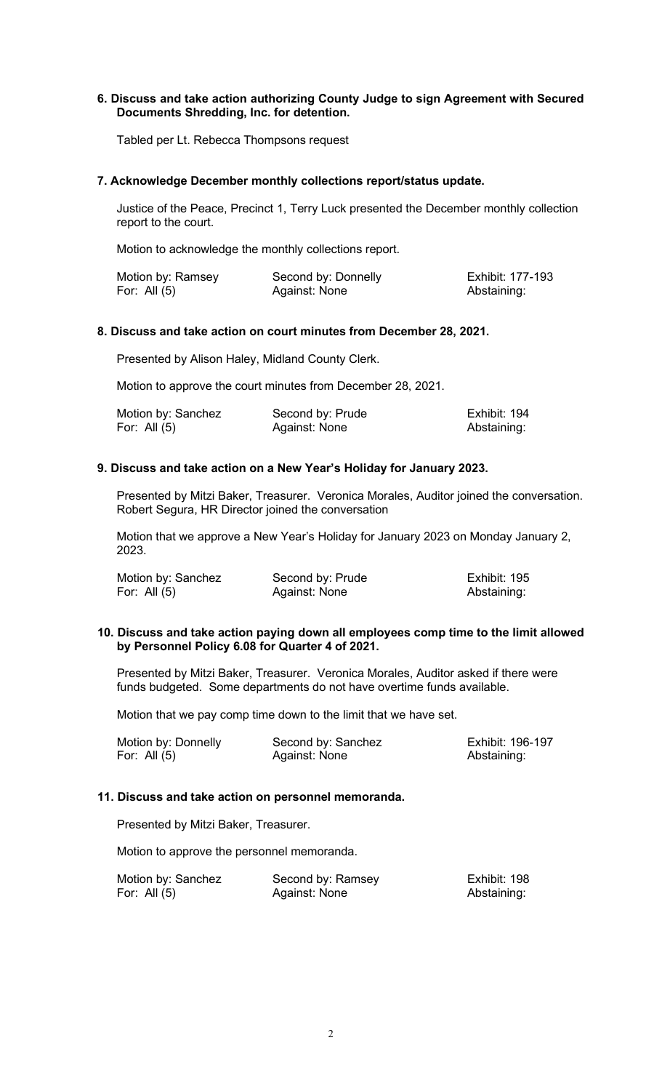## **6. Discuss and take action authorizing County Judge to sign Agreement with Secured Documents Shredding, Inc. for detention.**

Tabled per Lt. Rebecca Thompsons request

### **7. Acknowledge December monthly collections report/status update.**

Justice of the Peace, Precinct 1, Terry Luck presented the December monthly collection report to the court.

Motion to acknowledge the monthly collections report.

| Motion by: Ramsey | Second by: Donnelly | Exhibit: 177-193 |
|-------------------|---------------------|------------------|
| For: All $(5)$    | Against: None       | Abstaining:      |

## **8. Discuss and take action on court minutes from December 28, 2021.**

Presented by Alison Haley, Midland County Clerk.

Motion to approve the court minutes from December 28, 2021.

| Motion by: Sanchez | Second by: Prude | Exhibit: 194 |
|--------------------|------------------|--------------|
| For: All $(5)$     | Against: None    | Abstaining:  |

## **9. Discuss and take action on a New Year's Holiday for January 2023.**

Presented by Mitzi Baker, Treasurer. Veronica Morales, Auditor joined the conversation. Robert Segura, HR Director joined the conversation

Motion that we approve a New Year's Holiday for January 2023 on Monday January 2, 2023.

| Motion by: Sanchez | Second by: Prude | Exhibit: 195 |
|--------------------|------------------|--------------|
| For: All (5)       | Against: None    | Abstaining:  |

### **10. Discuss and take action paying down all employees comp time to the limit allowed by Personnel Policy 6.08 for Quarter 4 of 2021.**

Presented by Mitzi Baker, Treasurer. Veronica Morales, Auditor asked if there were funds budgeted. Some departments do not have overtime funds available.

Motion that we pay comp time down to the limit that we have set.

| Motion by: Donnelly | Second by: Sanchez | Exhibit: 196-197 |
|---------------------|--------------------|------------------|
| For: All $(5)$      | Against: None      | Abstaining:      |

#### **11. Discuss and take action on personnel memoranda.**

Presented by Mitzi Baker, Treasurer.

Motion to approve the personnel memoranda.

| Motion by: Sanchez | Second by: Ramsey | Exhibit: 198 |
|--------------------|-------------------|--------------|
| For: All $(5)$     | Against: None     | Abstaining:  |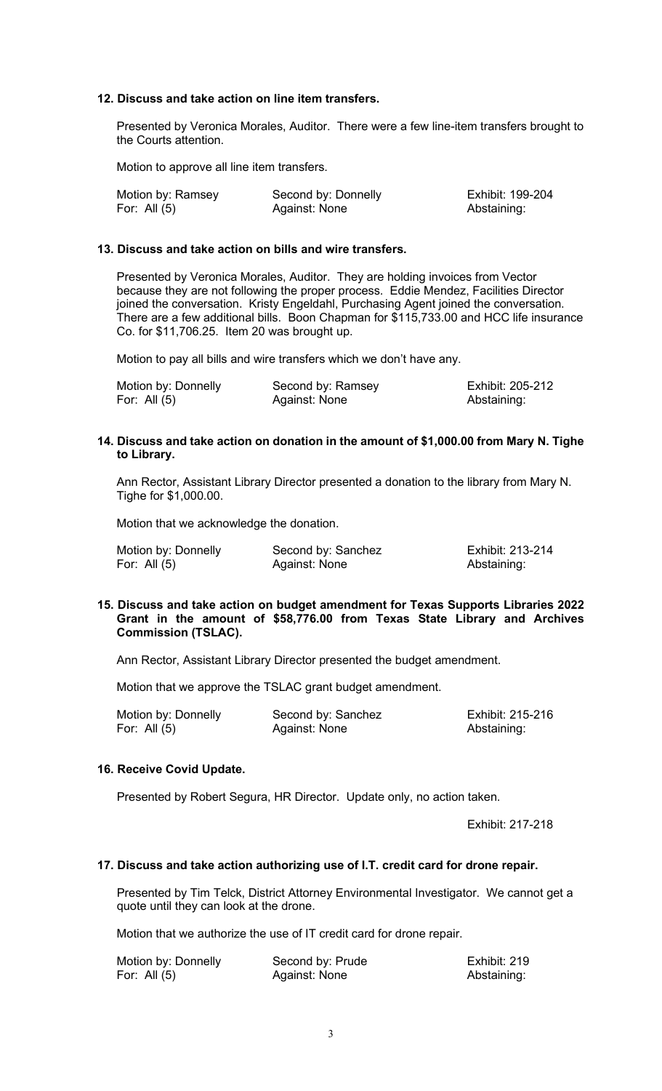## **12. Discuss and take action on line item transfers.**

Presented by Veronica Morales, Auditor. There were a few line-item transfers brought to the Courts attention.

Motion to approve all line item transfers.

| Motion by: Ramsey | Second by: Donnelly | Exhibit: 199-204 |
|-------------------|---------------------|------------------|
| For: All $(5)$    | Against: None       | Abstaining:      |

#### **13. Discuss and take action on bills and wire transfers.**

Presented by Veronica Morales, Auditor. They are holding invoices from Vector because they are not following the proper process. Eddie Mendez, Facilities Director joined the conversation. Kristy Engeldahl, Purchasing Agent joined the conversation. There are a few additional bills. Boon Chapman for \$115,733.00 and HCC life insurance Co. for \$11,706.25. Item 20 was brought up.

Motion to pay all bills and wire transfers which we don't have any.

| Motion by: Donnelly | Second by: Ramsey | Exhibit: 205-212 |
|---------------------|-------------------|------------------|
| For: All (5)        | Against: None     | Abstaining:      |

## **14. Discuss and take action on donation in the amount of \$1,000.00 from Mary N. Tighe to Library.**

Ann Rector, Assistant Library Director presented a donation to the library from Mary N. Tighe for \$1,000.00.

Motion that we acknowledge the donation.

| Motion by: Donnelly | Second by: Sanchez | Exhibit: 213-214 |
|---------------------|--------------------|------------------|
| For: All $(5)$      | Against: None      | Abstaining:      |

#### **15. Discuss and take action on budget amendment for Texas Supports Libraries 2022 Grant in the amount of \$58,776.00 from Texas State Library and Archives Commission (TSLAC).**

Ann Rector, Assistant Library Director presented the budget amendment.

Motion that we approve the TSLAC grant budget amendment.

| Motion by: Donnelly | Second by: Sanchez | Exhibit: 215-216 |
|---------------------|--------------------|------------------|
| For: All $(5)$      | Against: None      | Abstaining:      |

## **16. Receive Covid Update.**

Presented by Robert Segura, HR Director. Update only, no action taken.

Exhibit: 217-218

#### **17. Discuss and take action authorizing use of I.T. credit card for drone repair.**

Presented by Tim Telck, District Attorney Environmental Investigator. We cannot get a quote until they can look at the drone.

Motion that we authorize the use of IT credit card for drone repair.

| Motion by: Donnelly | Second by: Prude | Exhibit: 219 |
|---------------------|------------------|--------------|
| For: All $(5)$      | Against: None    | Abstaining:  |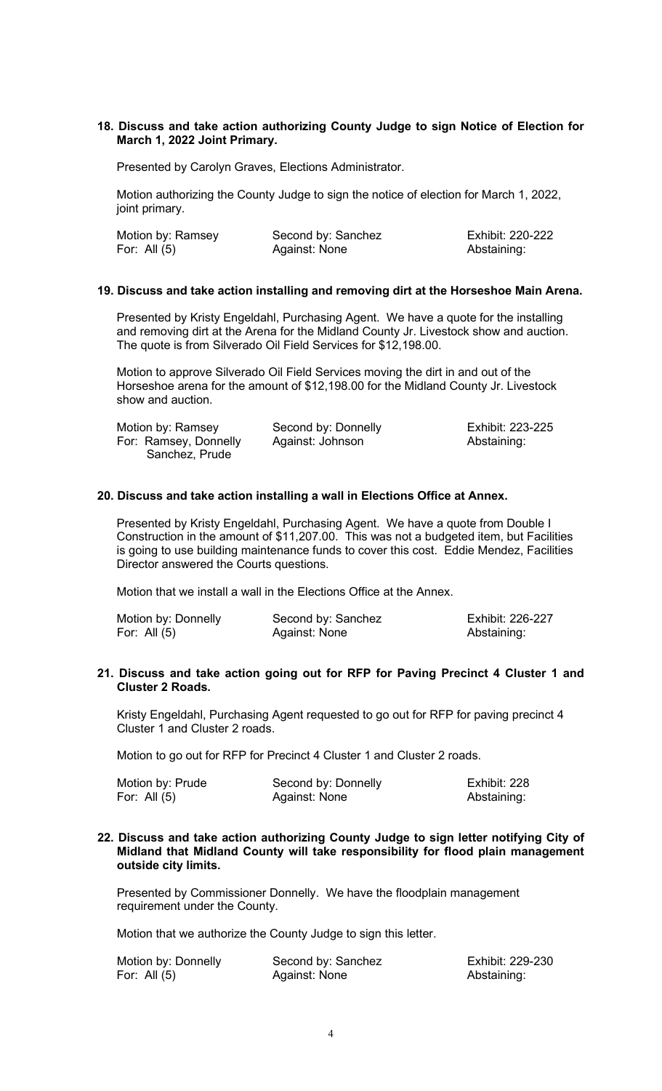### **18. Discuss and take action authorizing County Judge to sign Notice of Election for March 1, 2022 Joint Primary.**

Presented by Carolyn Graves, Elections Administrator.

Motion authorizing the County Judge to sign the notice of election for March 1, 2022, joint primary.

| Motion by: Ramsey | Second by: Sanchez | Exhibit: 220-222 |
|-------------------|--------------------|------------------|
| For: All (5)      | Against: None      | Abstaining:      |

#### **19. Discuss and take action installing and removing dirt at the Horseshoe Main Arena.**

Presented by Kristy Engeldahl, Purchasing Agent. We have a quote for the installing and removing dirt at the Arena for the Midland County Jr. Livestock show and auction. The quote is from Silverado Oil Field Services for \$12,198.00.

Motion to approve Silverado Oil Field Services moving the dirt in and out of the Horseshoe arena for the amount of \$12,198.00 for the Midland County Jr. Livestock show and auction.

| Motion by: Ramsey     | Second by: Donnelly | Exhibit: 223-225 |
|-----------------------|---------------------|------------------|
| For: Ramsey, Donnelly | Against: Johnson    | Abstaining:      |
| Sanchez, Prude        |                     |                  |

### **20. Discuss and take action installing a wall in Elections Office at Annex.**

Presented by Kristy Engeldahl, Purchasing Agent. We have a quote from Double I Construction in the amount of \$11,207.00. This was not a budgeted item, but Facilities is going to use building maintenance funds to cover this cost. Eddie Mendez, Facilities Director answered the Courts questions.

Motion that we install a wall in the Elections Office at the Annex.

| Motion by: Donnelly | Second by: Sanchez | Exhibit: 226-227 |
|---------------------|--------------------|------------------|
| For: All $(5)$      | Against: None      | Abstaining:      |

#### **21. Discuss and take action going out for RFP for Paving Precinct 4 Cluster 1 and Cluster 2 Roads.**

Kristy Engeldahl, Purchasing Agent requested to go out for RFP for paving precinct 4 Cluster 1 and Cluster 2 roads.

Motion to go out for RFP for Precinct 4 Cluster 1 and Cluster 2 roads.

| Motion by: Prude | Second by: Donnelly | Exhibit: 228 |
|------------------|---------------------|--------------|
| For: All $(5)$   | Against: None       | Abstaining:  |

#### **22. Discuss and take action authorizing County Judge to sign letter notifying City of Midland that Midland County will take responsibility for flood plain management outside city limits.**

Presented by Commissioner Donnelly. We have the floodplain management requirement under the County.

Motion that we authorize the County Judge to sign this letter.

| Motion by: Donnelly | Second by: Sanchez | Exhibit: 229-230 |
|---------------------|--------------------|------------------|
| For: All $(5)$      | Against: None      | Abstaining:      |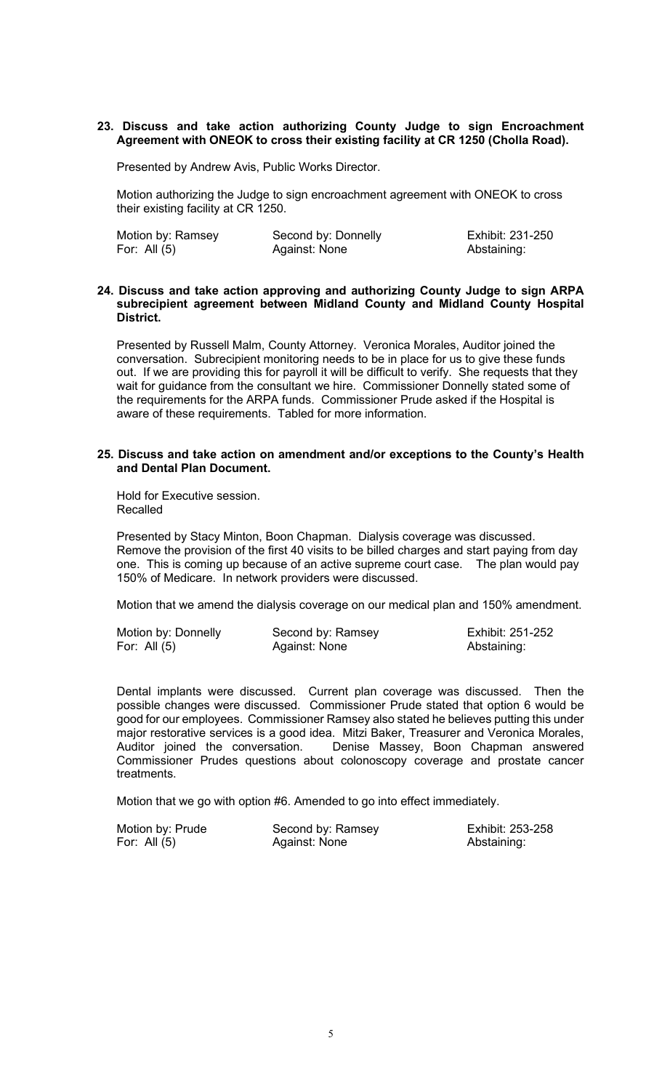### **23. Discuss and take action authorizing County Judge to sign Encroachment Agreement with ONEOK to cross their existing facility at CR 1250 (Cholla Road).**

Presented by Andrew Avis, Public Works Director.

Motion authorizing the Judge to sign encroachment agreement with ONEOK to cross their existing facility at CR 1250.

| Motion by: Ramsey | Second by: Donnelly | Exhibit: 231-250 |
|-------------------|---------------------|------------------|
| For: All $(5)$    | Against: None       | Abstaining:      |

#### **24. Discuss and take action approving and authorizing County Judge to sign ARPA subrecipient agreement between Midland County and Midland County Hospital District.**

Presented by Russell Malm, County Attorney. Veronica Morales, Auditor joined the conversation. Subrecipient monitoring needs to be in place for us to give these funds out. If we are providing this for payroll it will be difficult to verify. She requests that they wait for guidance from the consultant we hire. Commissioner Donnelly stated some of the requirements for the ARPA funds. Commissioner Prude asked if the Hospital is aware of these requirements. Tabled for more information.

### **25. Discuss and take action on amendment and/or exceptions to the County's Health and Dental Plan Document.**

Hold for Executive session. Recalled

Presented by Stacy Minton, Boon Chapman. Dialysis coverage was discussed. Remove the provision of the first 40 visits to be billed charges and start paying from day one. This is coming up because of an active supreme court case. The plan would pay 150% of Medicare. In network providers were discussed.

Motion that we amend the dialysis coverage on our medical plan and 150% amendment.

| Motion by: Donnelly | Second by: Ramsey | Exhibit: 251-252 |
|---------------------|-------------------|------------------|
| For: All $(5)$      | Against: None     | Abstaining:      |

#### 

Dental implants were discussed. Current plan coverage was discussed. Then the possible changes were discussed. Commissioner Prude stated that option 6 would be good for our employees. Commissioner Ramsey also stated he believes putting this under major restorative services is a good idea. Mitzi Baker, Treasurer and Veronica Morales,<br>Auditor joined the conversation. Denise Massey, Boon Chapman answered Denise Massey, Boon Chapman answered Commissioner Prudes questions about colonoscopy coverage and prostate cancer treatments.

Motion that we go with option #6. Amended to go into effect immediately.

| Motion by: Prude | Second by: Ramsey | Exhibit: 253-258 |
|------------------|-------------------|------------------|
| For: All (5)     | Against: None     | Abstaining:      |